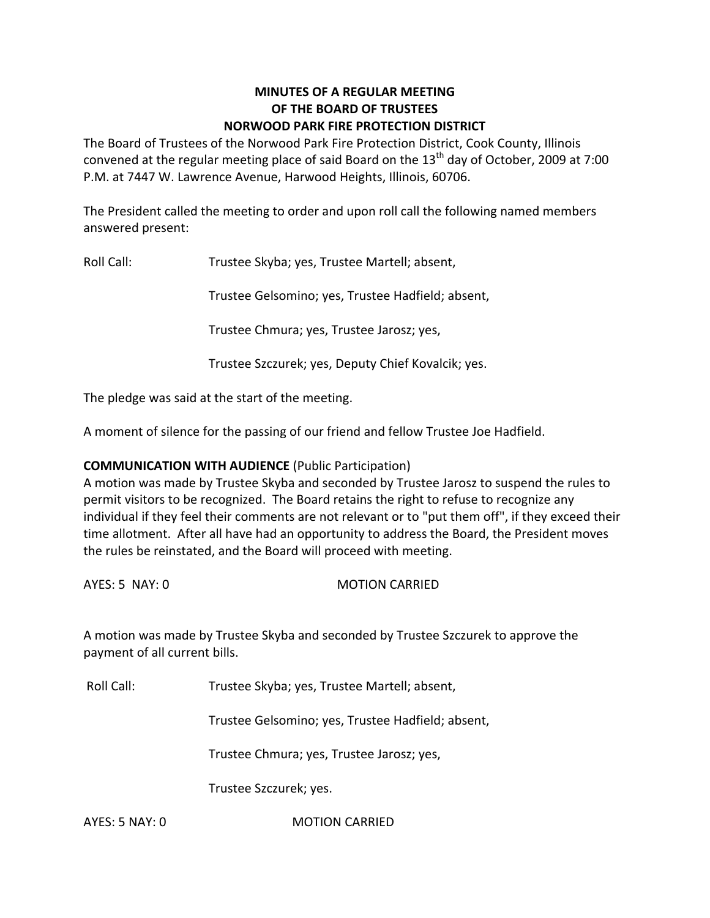# **MINUTES OF A REGULAR MEETING OF THE BOARD OF TRUSTEES NORWOOD PARK FIRE PROTECTION DISTRICT**

The Board of Trustees of the Norwood Park Fire Protection District, Cook County, Illinois convened at the regular meeting place of said Board on the  $13<sup>th</sup>$  day of October, 2009 at 7:00 P.M. at 7447 W. Lawrence Avenue, Harwood Heights, Illinois, 60706.

The President called the meeting to order and upon roll call the following named members answered present:

Roll Call: Trustee Skyba; yes, Trustee Martell; absent,

Trustee Gelsomino; yes, Trustee Hadfield; absent,

Trustee Chmura; yes, Trustee Jarosz; yes,

Trustee Szczurek; yes, Deputy Chief Kovalcik; yes.

The pledge was said at the start of the meeting.

A moment of silence for the passing of our friend and fellow Trustee Joe Hadfield.

# **COMMUNICATION WITH AUDIENCE** (Public Participation)

A motion was made by Trustee Skyba and seconded by Trustee Jarosz to suspend the rules to permit visitors to be recognized. The Board retains the right to refuse to recognize any individual if they feel their comments are not relevant or to "put them off", if they exceed their time allotment. After all have had an opportunity to address the Board, the President moves the rules be reinstated, and the Board will proceed with meeting.

AYES: 5 NAY: 0 MOTION CARRIED

A motion was made by Trustee Skyba and seconded by Trustee Szczurek to approve the payment of all current bills.

Roll Call: Trustee Skyba; yes, Trustee Martell; absent,

Trustee Gelsomino; yes, Trustee Hadfield; absent,

Trustee Chmura; yes, Trustee Jarosz; yes,

Trustee Szczurek; yes.

AYES: 5 NAY: 0 MOTION CARRIED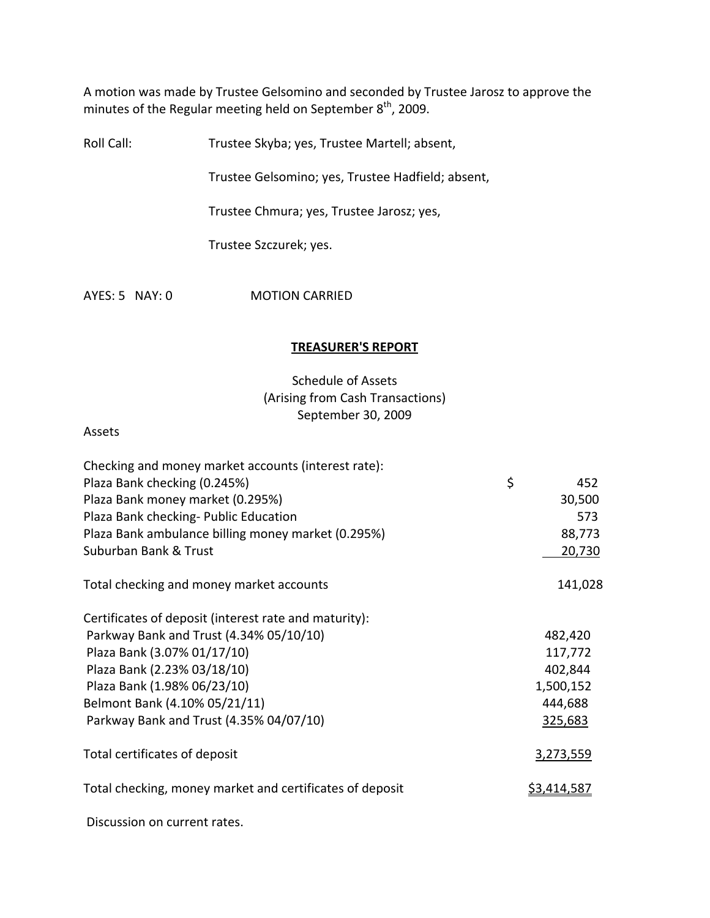A motion was made by Trustee Gelsomino and seconded by Trustee Jarosz to approve the minutes of the Regular meeting held on September  $8^{th}$ , 2009.

Roll Call: Trustee Skyba; yes, Trustee Martell; absent,

Trustee Gelsomino; yes, Trustee Hadfield; absent,

Trustee Chmura; yes, Trustee Jarosz; yes,

Trustee Szczurek; yes.

AYES: 5 NAY: 0 MOTION CARRIED

## **TREASURER'S REPORT**

# Schedule of Assets (Arising from Cash Transactions) September 30, 2009

Assets

| Checking and money market accounts (interest rate):      |                    |
|----------------------------------------------------------|--------------------|
| Plaza Bank checking (0.245%)                             | \$<br>452          |
| Plaza Bank money market (0.295%)                         | 30,500             |
| Plaza Bank checking- Public Education                    | 573                |
| Plaza Bank ambulance billing money market (0.295%)       | 88,773             |
| Suburban Bank & Trust                                    | 20,730             |
| Total checking and money market accounts                 | 141,028            |
| Certificates of deposit (interest rate and maturity):    |                    |
| Parkway Bank and Trust (4.34% 05/10/10)                  | 482,420            |
| Plaza Bank (3.07% 01/17/10)                              | 117,772            |
| Plaza Bank (2.23% 03/18/10)                              | 402,844            |
| Plaza Bank (1.98% 06/23/10)                              | 1,500,152          |
| Belmont Bank (4.10% 05/21/11)                            | 444,688            |
| Parkway Bank and Trust (4.35% 04/07/10)                  | 325,683            |
| Total certificates of deposit                            | 3,273,559          |
| Total checking, money market and certificates of deposit | <u>\$3,414,587</u> |
|                                                          |                    |

Discussion on current rates.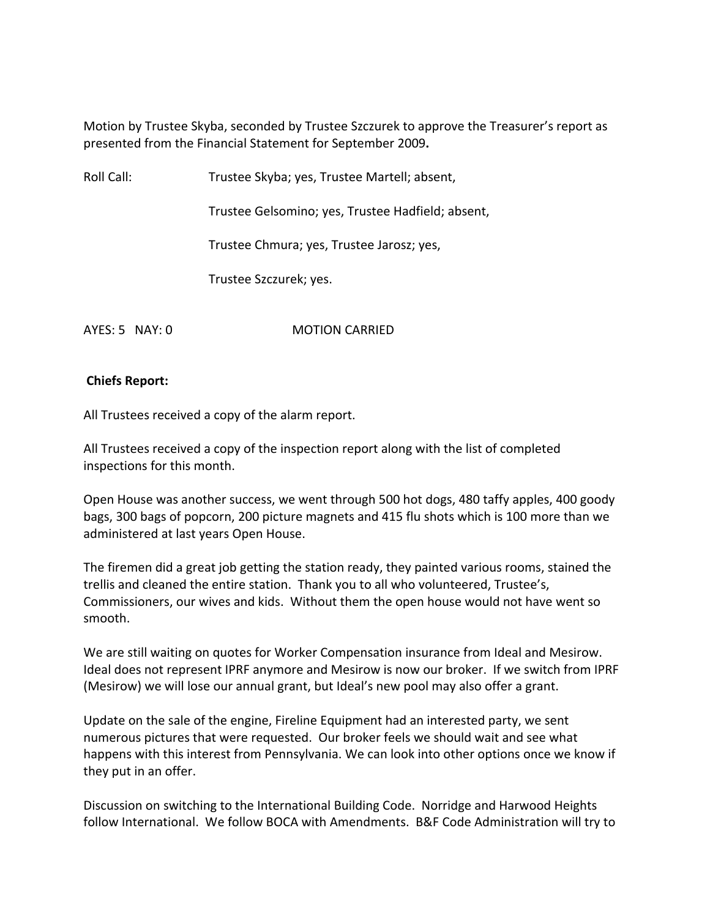Motion by Trustee Skyba, seconded by Trustee Szczurek to approve the Treasurer's report as presented from the Financial Statement for September 2009**.**

Roll Call: Trustee Skyba; yes, Trustee Martell; absent,

Trustee Gelsomino; yes, Trustee Hadfield; absent,

Trustee Chmura; yes, Trustee Jarosz; yes,

Trustee Szczurek; yes.

AYES: 5 NAY: 0 **MOTION CARRIED** 

# **Chiefs Report:**

All Trustees received a copy of the alarm report.

All Trustees received a copy of the inspection report along with the list of completed inspections for this month.

Open House was another success, we went through 500 hot dogs, 480 taffy apples, 400 goody bags, 300 bags of popcorn, 200 picture magnets and 415 flu shots which is 100 more than we administered at last years Open House.

The firemen did a great job getting the station ready, they painted various rooms, stained the trellis and cleaned the entire station. Thank you to all who volunteered, Trustee's, Commissioners, our wives and kids. Without them the open house would not have went so smooth.

We are still waiting on quotes for Worker Compensation insurance from Ideal and Mesirow. Ideal does not represent IPRF anymore and Mesirow is now our broker. If we switch from IPRF (Mesirow) we will lose our annual grant, but Ideal's new pool may also offer a grant.

Update on the sale of the engine, Fireline Equipment had an interested party, we sent numerous pictures that were requested. Our broker feels we should wait and see what happens with this interest from Pennsylvania. We can look into other options once we know if they put in an offer.

Discussion on switching to the International Building Code. Norridge and Harwood Heights follow International. We follow BOCA with Amendments. B&F Code Administration will try to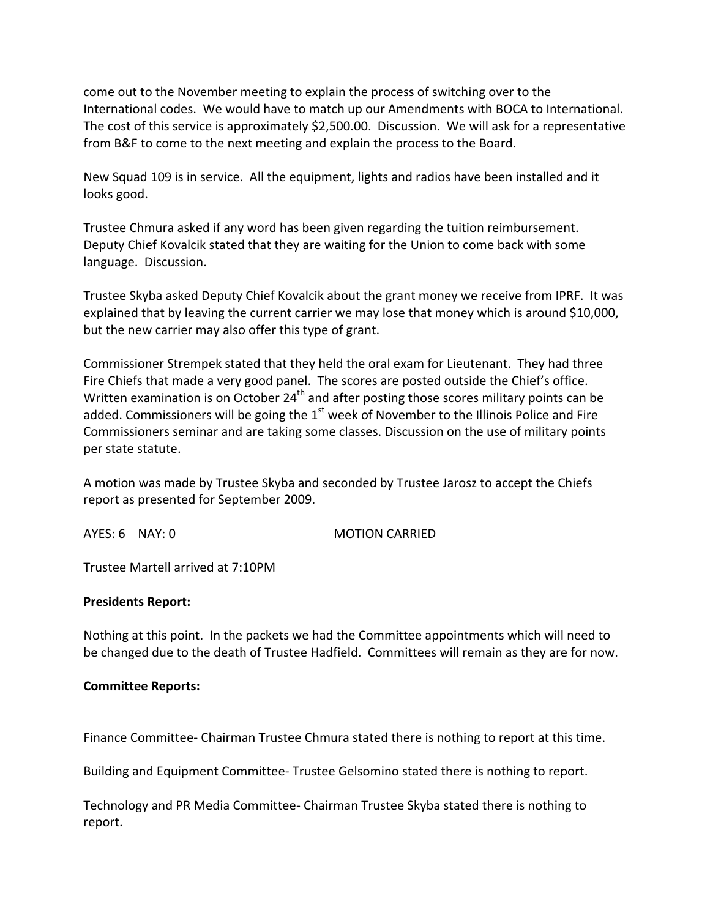come out to the November meeting to explain the process of switching over to the International codes. We would have to match up our Amendments with BOCA to International. The cost of this service is approximately \$2,500.00. Discussion. We will ask for a representative from B&F to come to the next meeting and explain the process to the Board.

New Squad 109 is in service. All the equipment, lights and radios have been installed and it looks good.

Trustee Chmura asked if any word has been given regarding the tuition reimbursement. Deputy Chief Kovalcik stated that they are waiting for the Union to come back with some language. Discussion.

Trustee Skyba asked Deputy Chief Kovalcik about the grant money we receive from IPRF. It was explained that by leaving the current carrier we may lose that money which is around \$10,000, but the new carrier may also offer this type of grant.

Commissioner Strempek stated that they held the oral exam for Lieutenant. They had three Fire Chiefs that made a very good panel. The scores are posted outside the Chief's office. Written examination is on October  $24<sup>th</sup>$  and after posting those scores military points can be added. Commissioners will be going the  $1^\text{st}$  week of November to the Illinois Police and Fire Commissioners seminar and are taking some classes. Discussion on the use of military points per state statute.

A motion was made by Trustee Skyba and seconded by Trustee Jarosz to accept the Chiefs report as presented for September 2009.

AYES: 6 NAY: 0 MOTION CARRIED

Trustee Martell arrived at 7:10PM

#### **Presidents Report:**

Nothing at this point. In the packets we had the Committee appointments which will need to be changed due to the death of Trustee Hadfield. Committees will remain as they are for now.

#### **Committee Reports:**

Finance Committee‐ Chairman Trustee Chmura stated there is nothing to report at this time.

Building and Equipment Committee‐ Trustee Gelsomino stated there is nothing to report.

Technology and PR Media Committee‐ Chairman Trustee Skyba stated there is nothing to report.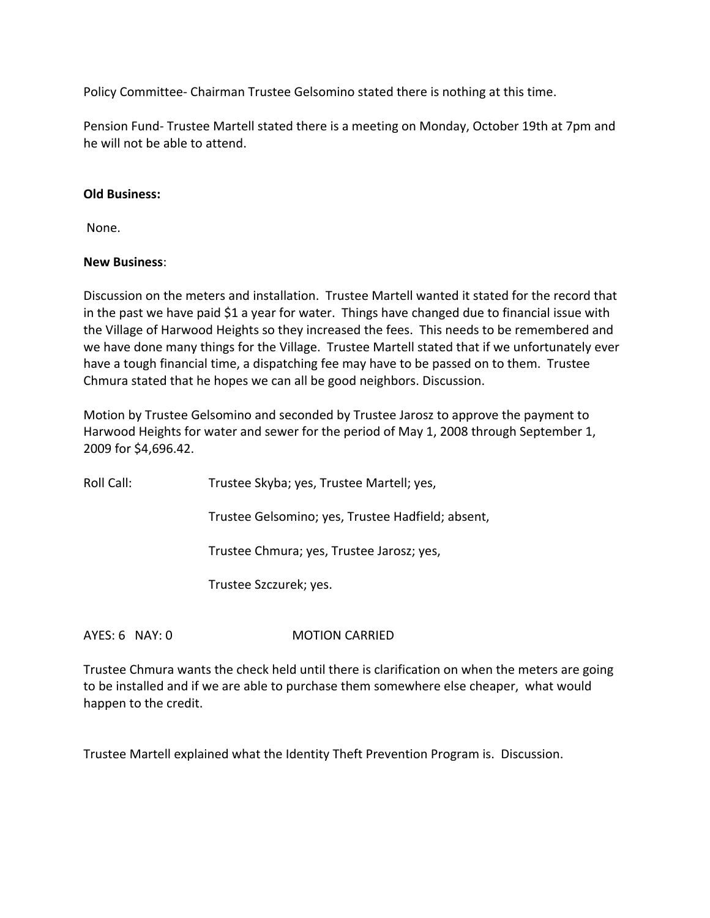Policy Committee‐ Chairman Trustee Gelsomino stated there is nothing at this time.

Pension Fund‐ Trustee Martell stated there is a meeting on Monday, October 19th at 7pm and he will not be able to attend.

#### **Old Business:**

None.

#### **New Business**:

Discussion on the meters and installation. Trustee Martell wanted it stated for the record that in the past we have paid \$1 a year for water. Things have changed due to financial issue with the Village of Harwood Heights so they increased the fees. This needs to be remembered and we have done many things for the Village. Trustee Martell stated that if we unfortunately ever have a tough financial time, a dispatching fee may have to be passed on to them. Trustee Chmura stated that he hopes we can all be good neighbors. Discussion.

Motion by Trustee Gelsomino and seconded by Trustee Jarosz to approve the payment to Harwood Heights for water and sewer for the period of May 1, 2008 through September 1, 2009 for \$4,696.42.

Roll Call: Trustee Skyba; yes, Trustee Martell; yes,

Trustee Gelsomino; yes, Trustee Hadfield; absent,

Trustee Chmura; yes, Trustee Jarosz; yes,

Trustee Szczurek; yes.

AYES: 6 NAY: 0 **MOTION CARRIED** 

Trustee Chmura wants the check held until there is clarification on when the meters are going to be installed and if we are able to purchase them somewhere else cheaper, what would happen to the credit.

Trustee Martell explained what the Identity Theft Prevention Program is. Discussion.